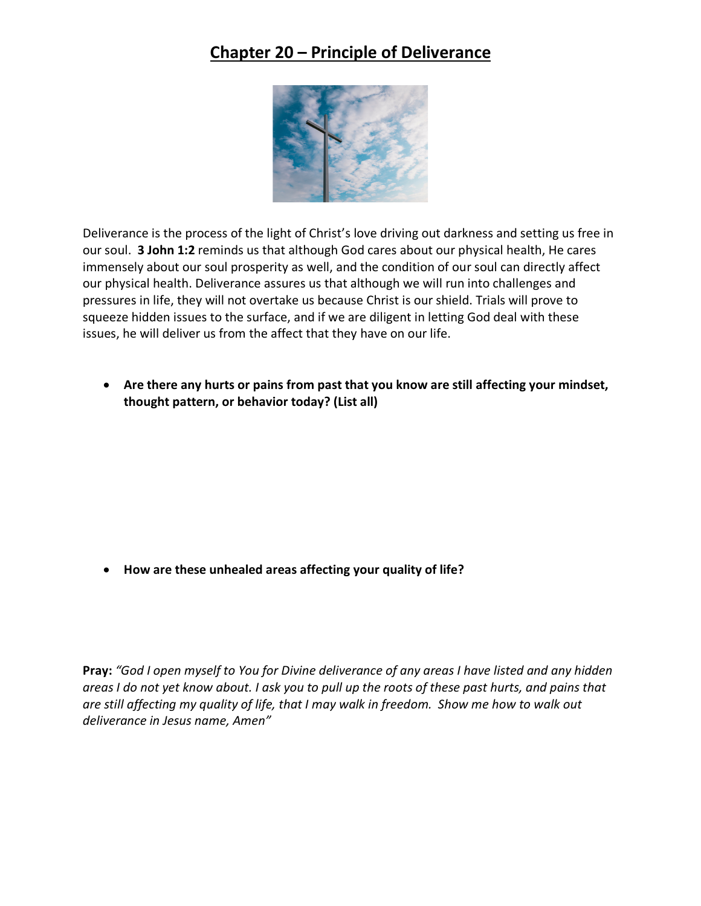## **Chapter 20 – Principle of Deliverance**



Deliverance is the process of the light of Christ's love driving out darkness and setting us free in our soul. **3 John 1:2** reminds us that although God cares about our physical health, He cares immensely about our soul prosperity as well, and the condition of our soul can directly affect our physical health. Deliverance assures us that although we will run into challenges and pressures in life, they will not overtake us because Christ is our shield. Trials will prove to squeeze hidden issues to the surface, and if we are diligent in letting God deal with these issues, he will deliver us from the affect that they have on our life.

• **Are there any hurts or pains from past that you know are still affecting your mindset, thought pattern, or behavior today? (List all)**

• **How are these unhealed areas affecting your quality of life?**

**Pray:** *"God I open myself to You for Divine deliverance of any areas I have listed and any hidden areas I do not yet know about. I ask you to pull up the roots of these past hurts, and pains that are still affecting my quality of life, that I may walk in freedom. Show me how to walk out deliverance in Jesus name, Amen"*